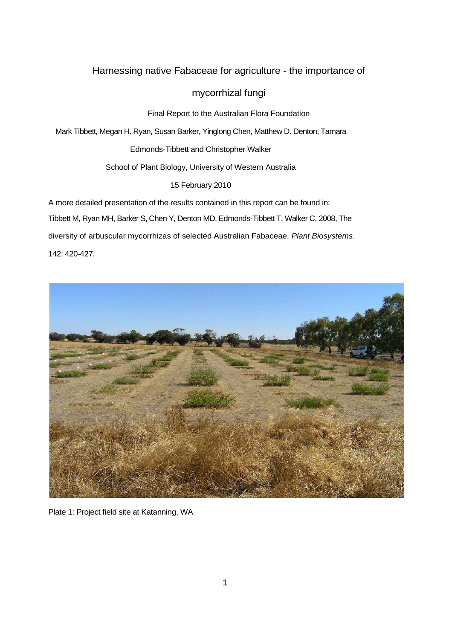# Harnessing native Fabaceae for agriculture - the importance of

# mycorrhizal fungi

Final Report to the Australian Flora Foundation

Mark Tibbett, Megan H. Ryan, Susan Barker, Yinglong Chen, Matthew D. Denton, Tamara

Edmonds-Tibbett and Christopher Walker

School of Plant Biology, University of Western Australia

15 February 2010

A more detailed presentation of the results contained in this report can be found in: Tibbett M, Ryan MH, Barker S, Chen Y, Denton MD, Edmonds-Tibbett T, Walker C, 2008, The diversity of arbuscular mycorrhizas of selected Australian Fabaceae. *Plant Biosystems*. 142: 420-427.



Plate 1: Project field site at Katanning, WA.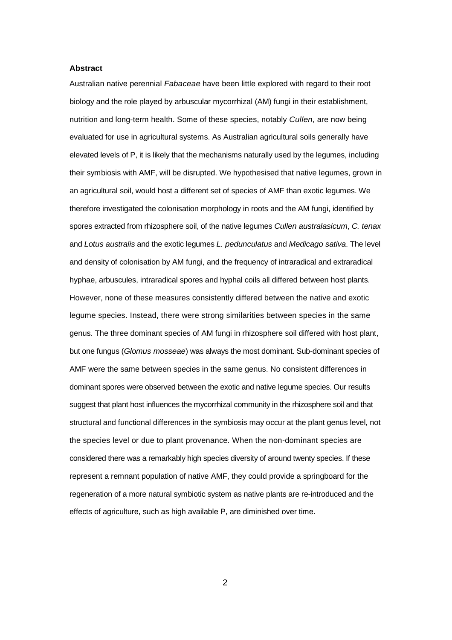## **Abstract**

Australian native perennial *Fabaceae* have been little explored with regard to their root biology and the role played by arbuscular mycorrhizal (AM) fungi in their establishment, nutrition and long-term health. Some of these species, notably *Cullen*, are now being evaluated for use in agricultural systems. As Australian agricultural soils generally have elevated levels of P, it is likely that the mechanisms naturally used by the legumes, including their symbiosis with AMF, will be disrupted. We hypothesised that native legumes, grown in an agricultural soil, would host a different set of species of AMF than exotic legumes. We therefore investigated the colonisation morphology in roots and the AM fungi, identified by spores extracted from rhizosphere soil, of the native legumes *Cullen australasicum*, *C. tenax* and *Lotus australis* and the exotic legumes *L. pedunculatus* and *Medicago sativa*. The level and density of colonisation by AM fungi, and the frequency of intraradical and extraradical hyphae, arbuscules, intraradical spores and hyphal coils all differed between host plants. However, none of these measures consistently differed between the native and exotic legume species. Instead, there were strong similarities between species in the same genus. The three dominant species of AM fungi in rhizosphere soil differed with host plant, but one fungus (*Glomus mosseae*) was always the most dominant. Sub-dominant species of AMF were the same between species in the same genus. No consistent differences in dominant spores were observed between the exotic and native legume species. Our results suggest that plant host influences the mycorrhizal community in the rhizosphere soil and that structural and functional differences in the symbiosis may occur at the plant genus level, not the species level or due to plant provenance. When the non-dominant species are considered there was a remarkably high species diversity of around twenty species. If these represent a remnant population of native AMF, they could provide a springboard for the regeneration of a more natural symbiotic system as native plants are re-introduced and the effects of agriculture, such as high available P, are diminished over time.

2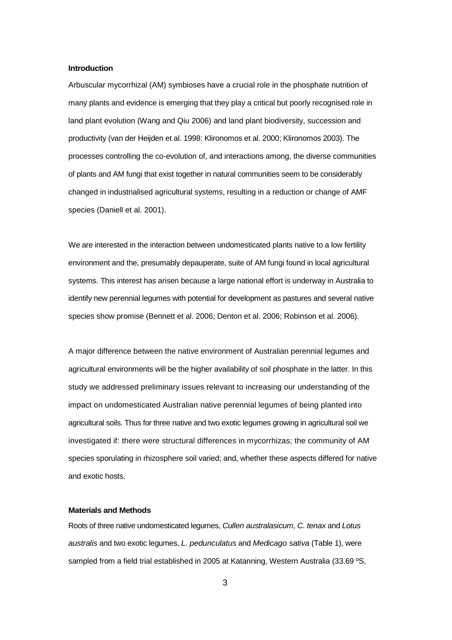### **Introduction**

Arbuscular mycorrhizal (AM) symbioses have a crucial role in the phosphate nutrition of many plants and evidence is emerging that they play a critical but poorly recognised role in land plant evolution (Wang and Qiu 2006) and land plant biodiversity, succession and productivity (van der Heijden et al. 1998: Klironomos et al. 2000; Klironomos 2003). The processes controlling the co-evolution of, and interactions among, the diverse communities of plants and AM fungi that exist together in natural communities seem to be considerably changed in industrialised agricultural systems, resulting in a reduction or change of AMF species (Daniell et al. 2001).

We are interested in the interaction between undomesticated plants native to a low fertility environment and the, presumably depauperate, suite of AM fungi found in local agricultural systems. This interest has arisen because a large national effort is underway in Australia to identify new perennial legumes with potential for development as pastures and several native species show promise (Bennett et al. 2006; Denton et al. 2006; Robinson et al. 2006).

A major difference between the native environment of Australian perennial legumes and agricultural environments will be the higher availability of soil phosphate in the latter. In this study we addressed preliminary issues relevant to increasing our understanding of the impact on undomesticated Australian native perennial legumes of being planted into agricultural soils. Thus for three native and two exotic legumes growing in agricultural soil we investigated if: there were structural differences in mycorrhizas; the community of AM species sporulating in rhizosphere soil varied; and, whether these aspects differed for native and exotic hosts.

#### **Materials and Methods**

Roots of three native undomesticated legumes, *Cullen australasicum*, *C. tenax* and *Lotus australis* and two exotic legumes, *L. pedunculatus* and *Medicago sativa* (Table 1), were sampled from a field trial established in 2005 at Katanning, Western Australia (33.69 °S,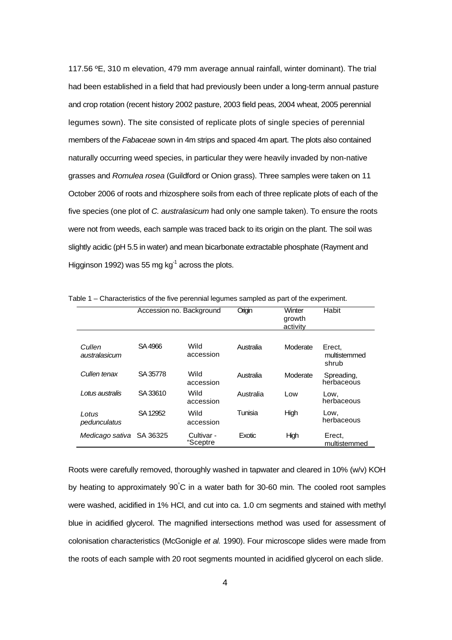117.56 ºE, 310 m elevation, 479 mm average annual rainfall, winter dominant). The trial had been established in a field that had previously been under a long-term annual pasture and crop rotation (recent history 2002 pasture, 2003 field peas, 2004 wheat, 2005 perennial legumes sown). The site consisted of replicate plots of single species of perennial members of the *Fabaceae* sown in 4m strips and spaced 4m apart. The plots also contained naturally occurring weed species, in particular they were heavily invaded by non-native grasses and *Romulea rosea* (Guildford or Onion grass). Three samples were taken on 11 October 2006 of roots and rhizosphere soils from each of three replicate plots of each of the five species (one plot of *C. australasicum* had only one sample taken). To ensure the roots were not from weeds, each sample was traced back to its origin on the plant. The soil was slightly acidic (pH 5.5 in water) and mean bicarbonate extractable phosphate (Rayment and Higginson 1992) was 55 mg  $kg^{-1}$  across the plots.

|                         | Accession no. Background |                          | Origin    | Winter<br>growth<br>activity | Habit                           |
|-------------------------|--------------------------|--------------------------|-----------|------------------------------|---------------------------------|
| Cullen<br>australasicum | SA4966                   | Wild<br>accession        | Australia | Moderate                     | Erect,<br>multistemmed<br>shrub |
| Cullen tenax            | SA 35778                 | <b>Wild</b><br>accession | Australia | Moderate                     | Spreading,<br>herbaceous        |
| I otus australis        | SA 33610                 | Wild<br>accession        | Australia | Low                          | Low,<br>herbaceous              |
| I otus<br>pedunculatus  | SA 12952                 | Wild<br>accession        | Tunisia   | High                         | Low,<br>herbaceous              |
| Medicago sativa         | SA 36325                 | Cultivar -<br>"Sceptre   | Exotic    | High                         | Erect,<br>multistemmed          |

Table 1 – Characteristics of the five perennial legumes sampled as part of the experiment.

Roots were carefully removed, thoroughly washed in tapwater and cleared in 10% (w/v) KOH by heating to approximately 90°C in a water bath for 30-60 min. The cooled root samples were washed, acidified in 1% HCl, and cut into ca. 1.0 cm segments and stained with methyl blue in acidified glycerol. The magnified intersections method was used for assessment of colonisation characteristics (McGonigle *et al.* 1990). Four microscope slides were made from the roots of each sample with 20 root segments mounted in acidified glycerol on each slide.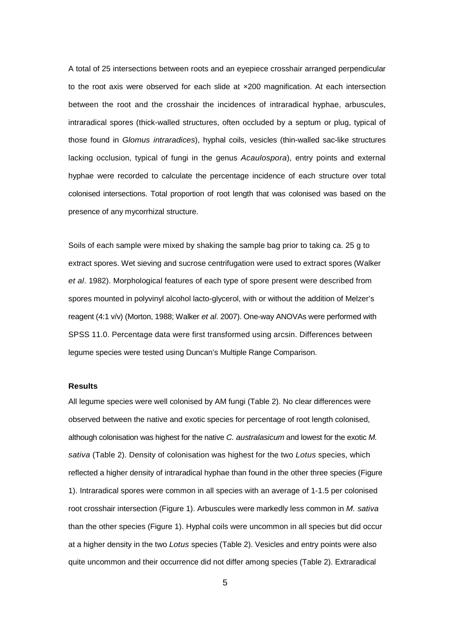A total of 25 intersections between roots and an eyepiece crosshair arranged perpendicular to the root axis were observed for each slide at  $\times$ 200 magnification. At each intersection between the root and the crosshair the incidences of intraradical hyphae, arbuscules, intraradical spores (thick-walled structures, often occluded by a septum or plug, typical of those found in *Glomus intraradices*), hyphal coils, vesicles (thin-walled sac-like structures lacking occlusion, typical of fungi in the genus *Acaulospora*), entry points and external hyphae were recorded to calculate the percentage incidence of each structure over total colonised intersections. Total proportion of root length that was colonised was based on the presence of any mycorrhizal structure.

Soils of each sample were mixed by shaking the sample bag prior to taking ca. 25 g to extract spores. Wet sieving and sucrose centrifugation were used to extract spores (Walker *et al*. 1982). Morphological features of each type of spore present were described from spores mounted in polyvinyl alcohol lacto-glycerol, with or without the addition of Melzer's reagent (4:1 v/v) (Morton, 1988; Walker *et al*. 2007). One-way ANOVAs were performed with SPSS 11.0. Percentage data were first transformed using arcsin. Differences between legume species were tested using Duncan's Multiple Range Comparison.

# **Results**

All legume species were well colonised by AM fungi (Table 2). No clear differences were observed between the native and exotic species for percentage of root length colonised, although colonisation was highest for the native *C. australasicum* and lowest for the exotic *M. sativa* (Table 2). Density of colonisation was highest for the two *Lotus* species, which reflected a higher density of intraradical hyphae than found in the other three species (Figure 1). Intraradical spores were common in all species with an average of 1-1.5 per colonised root crosshair intersection (Figure 1). Arbuscules were markedly less common in *M. sativa* than the other species (Figure 1). Hyphal coils were uncommon in all species but did occur at a higher density in the two *Lotus* species (Table 2). Vesicles and entry points were also quite uncommon and their occurrence did not differ among species (Table 2). Extraradical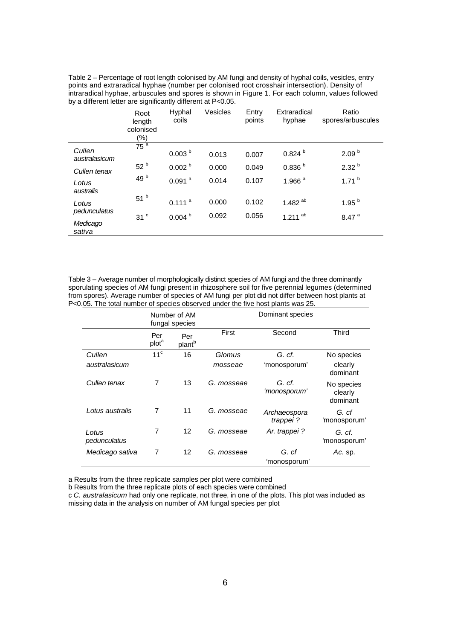Table 2 – Percentage of root length colonised by AM fungi and density of hyphal coils, vesicles, entry points and extraradical hyphae (number per colonised root crosshair intersection). Density of intraradical hyphae, arbuscules and spores is shown in Figure 1. For each column, values followed by a different letter are significantly different at P<0.05.

|                         | Root<br>length<br>colonised<br>$(\%)$ | Hyphal<br>coils      | Vesicles | Entry<br>points | Extraradical<br>hyphae | Ratio<br>spores/arbuscules |
|-------------------------|---------------------------------------|----------------------|----------|-----------------|------------------------|----------------------------|
| Cullen<br>australasicum | 75 <sup>a</sup>                       | 0.003 <sup>b</sup>   | 0.013    | 0.007           | 0.824 <sup>b</sup>     | 2.09 <sup>b</sup>          |
| Cullen tenax            | 52 <sup>b</sup>                       | 0.002 <sup>b</sup>   | 0.000    | 0.049           | 0.836 <sup>b</sup>     | 2.32 <sup>b</sup>          |
| Lotus<br>australis      | 49 b                                  | $0.091$ <sup>a</sup> | 0.014    | 0.107           | 1.966 $a$              | $1.71^{b}$                 |
| Lotus<br>pedunculatus   | 51 <sup>b</sup>                       | 0.111 <sup>a</sup>   | 0.000    | 0.102           | 1.482 $^{ab}$          | 1.95 <sup>b</sup>          |
|                         | 31 <sup>c</sup>                       | 0.004 <sup>b</sup>   | 0.092    | 0.056           | $1.211$ <sup>ab</sup>  | 8.47 <sup>a</sup>          |
| Medicago<br>sativa      |                                       |                      |          |                 |                        |                            |

Table 3 – Average number of morphologically distinct species of AM fungi and the three dominantly sporulating species of AM fungi present in rhizosphere soil for five perennial legumes (determined from spores). Average number of species of AM fungi per plot did not differ between host plants at P<0.05. The total number of species observed under the five host plants was 25.

|                       | Number of AM<br>fungal species |                           | Dominant species |                          |                                   |  |
|-----------------------|--------------------------------|---------------------------|------------------|--------------------------|-----------------------------------|--|
|                       | Per<br>plot <sup>a</sup>       | Per<br>plant <sup>b</sup> | First            | Second                   | <b>Third</b>                      |  |
| Cullen                | 11 <sup>c</sup>                | 16                        | Glomus           | G. cf.                   | No species                        |  |
| australasicum         |                                |                           | mosseae          | 'monosporum'             | clearly<br>dominant               |  |
| Cullen tenax          | 7                              | 13                        | G. mosseae       | G. cf.<br>'monosporum'   | No species<br>clearly<br>dominant |  |
| Lotus australis       | 7                              | 11                        | G. mosseae       | Archaeospora<br>trappei? | G. cf<br>'monosporum              |  |
| Lotus<br>pedunculatus | 7                              | 12                        | G. mosseae       | Ar. trappei?             | G. cf.<br>'monosporum             |  |
| Medicago sativa       | 7                              | 12                        | G. mosseae       | G. cf<br>'monosporum     | Ac. sp.                           |  |

a Results from the three replicate samples per plot were combined

b Results from the three replicate plots of each species were combined

c *C. australasicum* had only one replicate, not three, in one of the plots. This plot was included as missing data in the analysis on number of AM fungal species per plot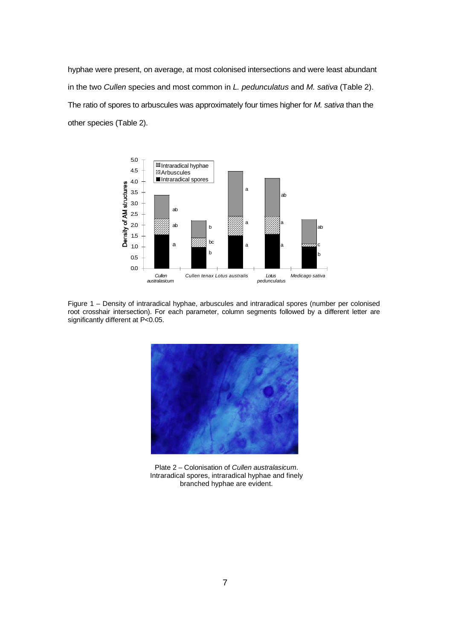hyphae were present, on average, at most colonised intersections and were least abundant in the two *Cullen* species and most common in *L. pedunculatus* and *M. sativa* (Table 2). The ratio of spores to arbuscules was approximately four times higher for *M. sativa* than the other species (Table 2).



Figure 1 – Density of intraradical hyphae, arbuscules and intraradical spores (number per colonised root crosshair intersection). For each parameter, column segments followed by a different letter are significantly different at P<0.05.



Plate 2 – Colonisation of *Cullen australasicum*. Intraradical spores, intraradical hyphae and finely branched hyphae are evident.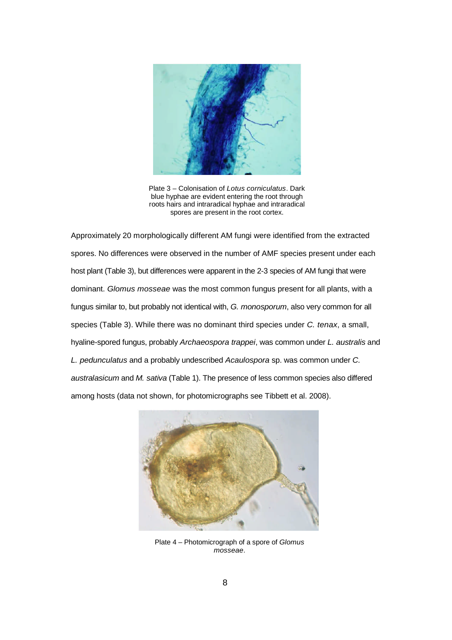

Plate 3 – Colonisation of *Lotus corniculatus*. Dark blue hyphae are evident entering the root through roots hairs and intraradical hyphae and intraradical spores are present in the root cortex.

Approximately 20 morphologically different AM fungi were identified from the extracted spores. No differences were observed in the number of AMF species present under each host plant (Table 3), but differences were apparent in the 2-3 species of AM fungi that were dominant. *Glomus mosseae* was the most common fungus present for all plants, with a fungus similar to, but probably not identical with, *G. monosporum*, also very common for all species (Table 3). While there was no dominant third species under *C. tenax*, a small, hyaline-spored fungus, probably *Archaeospora trappei*, was common under *L. australis* and *L. pedunculatus* and a probably undescribed *Acaulospora* sp. was common under *C. australasicum* and *M. sativa* (Table 1). The presence of less common species also differed among hosts (data not shown, for photomicrographs see Tibbett et al. 2008).



Plate 4 – Photomicrograph of a spore of *Glomus mosseae*.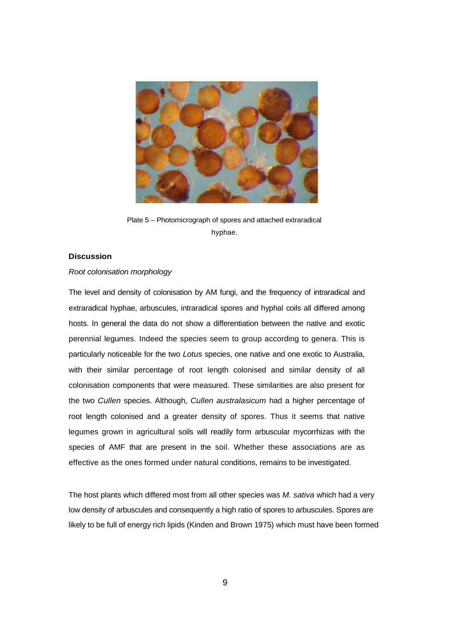

Plate 5 – Photomicrograph of spores and attached extraradical hyphae.

# **Discussion**

# *Root colonisation morphology*

The level and density of colonisation by AM fungi, and the frequency of intraradical and extraradical hyphae, arbuscules, intraradical spores and hyphal coils all differed among hosts. In general the data do not show a differentiation between the native and exotic perennial legumes. Indeed the species seem to group according to genera. This is particularly noticeable for the two *Lotus* species, one native and one exotic to Australia, with their similar percentage of root length colonised and similar density of all colonisation components that were measured. These similarities are also present for the two *Cullen* species. Although, *Cullen australasicum* had a higher percentage of root length colonised and a greater density of spores. Thus it seems that native legumes grown in agricultural soils will readily form arbuscular mycorrhizas with the species of AMF that are present in the soil. Whether these associations are as effective as the ones formed under natural conditions, remains to be investigated.

The host plants which differed most from all other species was *M. sativa* which had a very low density of arbuscules and consequently a high ratio of spores to arbuscules. Spores are likely to be full of energy rich lipids (Kinden and Brown 1975) which must have been formed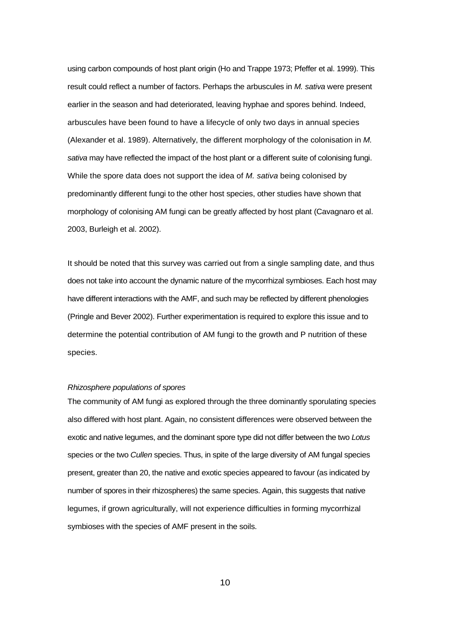using carbon compounds of host plant origin (Ho and Trappe 1973; Pfeffer et al. 1999). This result could reflect a number of factors. Perhaps the arbuscules in *M. sativa* were present earlier in the season and had deteriorated, leaving hyphae and spores behind. Indeed, arbuscules have been found to have a lifecycle of only two days in annual species (Alexander et al. 1989). Alternatively, the different morphology of the colonisation in *M. sativa* may have reflected the impact of the host plant or a different suite of colonising fungi. While the spore data does not support the idea of *M. sativa* being colonised by predominantly different fungi to the other host species, other studies have shown that morphology of colonising AM fungi can be greatly affected by host plant (Cavagnaro et al. 2003, Burleigh et al. 2002).

It should be noted that this survey was carried out from a single sampling date, and thus does not take into account the dynamic nature of the mycorrhizal symbioses. Each host may have different interactions with the AMF, and such may be reflected by different phenologies (Pringle and Bever 2002). Further experimentation is required to explore this issue and to determine the potential contribution of AM fungi to the growth and P nutrition of these species.

## *Rhizosphere populations of spores*

The community of AM fungi as explored through the three dominantly sporulating species also differed with host plant. Again, no consistent differences were observed between the exotic and native legumes, and the dominant spore type did not differ between the two *Lotus* species or the two *Cullen* species. Thus, in spite of the large diversity of AM fungal species present, greater than 20, the native and exotic species appeared to favour (as indicated by number of spores in their rhizospheres) the same species. Again, this suggests that native legumes, if grown agriculturally, will not experience difficulties in forming mycorrhizal symbioses with the species of AMF present in the soils.

10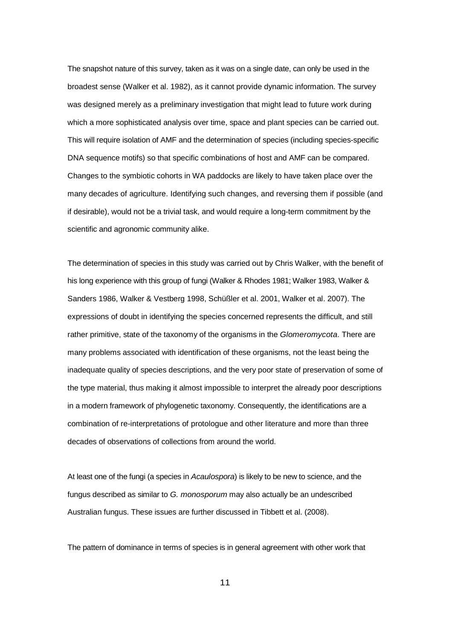The snapshot nature of this survey, taken as it was on a single date, can only be used in the broadest sense (Walker et al. 1982), as it cannot provide dynamic information. The survey was designed merely as a preliminary investigation that might lead to future work during which a more sophisticated analysis over time, space and plant species can be carried out. This will require isolation of AMF and the determination of species (including species-specific DNA sequence motifs) so that specific combinations of host and AMF can be compared. Changes to the symbiotic cohorts in WA paddocks are likely to have taken place over the many decades of agriculture. Identifying such changes, and reversing them if possible (and if desirable), would not be a trivial task, and would require a long-term commitment by the scientific and agronomic community alike.

The determination of species in this study was carried out by Chris Walker, with the benefit of his long experience with this group of fungi (Walker & Rhodes 1981; Walker 1983, Walker & Sanders 1986, Walker & Vestberg 1998, Schüßler et al. 2001, Walker et al. 2007). The expressions of doubt in identifying the species concerned represents the difficult, and still rather primitive, state of the taxonomy of the organisms in the *Glomeromycota*. There are many problems associated with identification of these organisms, not the least being the inadequate quality of species descriptions, and the very poor state of preservation of some of the type material, thus making it almost impossible to interpret the already poor descriptions in a modern framework of phylogenetic taxonomy. Consequently, the identifications are a combination of re-interpretations of protologue and other literature and more than three decades of observations of collections from around the world.

At least one of the fungi (a species in *Acaulospora*) is likely to be new to science, and the fungus described as similar to *G. monosporum* may also actually be an undescribed Australian fungus. These issues are further discussed in Tibbett et al. (2008).

The pattern of dominance in terms of species is in general agreement with other work that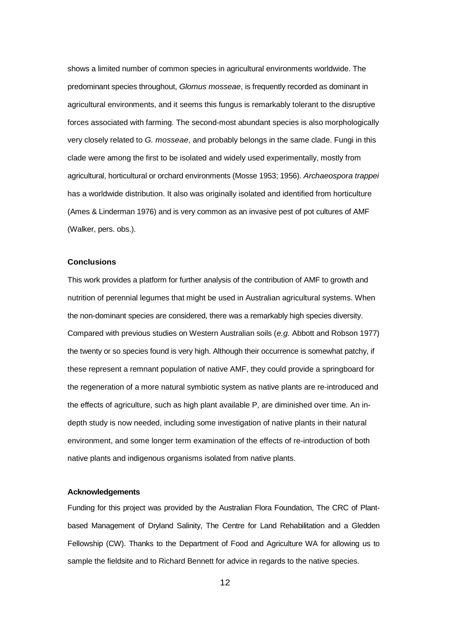shows a limited number of common species in agricultural environments worldwide. The predominant species throughout, *Glomus mosseae*, is frequently recorded as dominant in agricultural environments, and it seems this fungus is remarkably tolerant to the disruptive forces associated with farming. The second-most abundant species is also morphologically very closely related to *G. mosseae*, and probably belongs in the same clade. Fungi in this clade were among the first to be isolated and widely used experimentally, mostly from agricultural, horticultural or orchard environments (Mosse 1953; 1956). *Archaeospora trappei* has a worldwide distribution. It also was originally isolated and identified from horticulture (Ames & Linderman 1976) and is very common as an invasive pest of pot cultures of AMF (Walker, pers. obs.).

## **Conclusions**

This work provides a platform for further analysis of the contribution of AMF to growth and nutrition of perennial legumes that might be used in Australian agricultural systems. When the non-dominant species are considered, there was a remarkably high species diversity. Compared with previous studies on Western Australian soils (*e.g.* Abbott and Robson 1977) the twenty or so species found is very high. Although their occurrence is somewhat patchy, if these represent a remnant population of native AMF, they could provide a springboard for the regeneration of a more natural symbiotic system as native plants are re-introduced and the effects of agriculture, such as high plant available P, are diminished over time. An indepth study is now needed, including some investigation of native plants in their natural environment, and some longer term examination of the effects of re-introduction of both native plants and indigenous organisms isolated from native plants.

## **Acknowledgements**

Funding for this project was provided by the Australian Flora Foundation, The CRC of Plantbased Management of Dryland Salinity, The Centre for Land Rehabilitation and a Gledden Fellowship (CW). Thanks to the Department of Food and Agriculture WA for allowing us to sample the fieldsite and to Richard Bennett for advice in regards to the native species.

12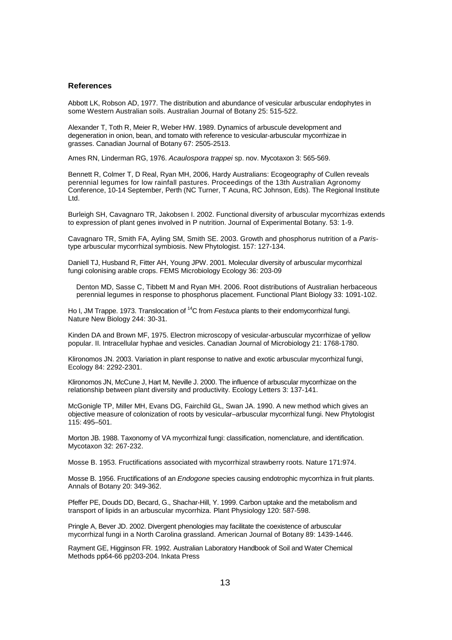#### **References**

Abbott LK, Robson AD, 1977. The distribution and abundance of vesicular arbuscular endophytes in some Western Australian soils. Australian Journal of Botany 25: 515-522.

Alexander T, Toth R, Meier R, Weber HW. 1989. Dynamics of arbuscule development and degeneration in onion, bean, and tomato with reference to vesicular-arbuscular mycorrhizae in grasses. Canadian Journal of Botany 67: 2505-2513.

Ames RN, Linderman RG, 1976. *Acaulospora trappei* sp. nov. Mycotaxon 3: 565-569.

Bennett R, Colmer T, D Real, Ryan MH, 2006, Hardy Australians: Ecogeography of Cullen reveals perennial legumes for low rainfall pastures. Proceedings of the 13th Australian Agronomy Conference, 10-14 September, Perth (NC Turner, T Acuna, RC Johnson, Eds). The Regional Institute Ltd.

Burleigh SH, Cavagnaro TR, Jakobsen I. 2002. Functional diversity of arbuscular mycorrhizas extends to expression of plant genes involved in P nutrition. Journal of Experimental Botany. 53: 1-9.

Cavagnaro TR, Smith FA, Ayling SM, Smith SE. 2003. Growth and phosphorus nutrition of a *Paris*type arbuscular mycorrhizal symbiosis. New Phytologist. 157: 127-134.

Daniell TJ, Husband R, Fitter AH, Young JPW. 2001. Molecular diversity of arbuscular mycorrhizal fungi colonising arable crops. FEMS Microbiology Ecology 36: 203-09

Denton MD, Sasse C, Tibbett M and Ryan MH. 2006. Root distributions of Australian herbaceous perennial legumes in response to phosphorus placement. Functional Plant Biology 33: 1091-102.

Ho I, JM Trappe. 1973. Translocation of <sup>14</sup>C from *Festuca* plants to their endomycorrhizal fungi. Nature New Biology 244: 30-31.

Kinden DA and Brown MF, 1975. Electron microscopy of vesicular-arbuscular mycorrhizae of yellow popular. II. Intracellular hyphae and vesicles. Canadian Journal of Microbiology 21: 1768-1780.

Klironomos JN. 2003. Variation in plant response to native and exotic arbuscular mycorrhizal fungi, Ecology 84: 2292-2301.

Klironomos JN, McCune J, Hart M, Neville J. 2000. The influence of arbuscular mycorrhizae on the relationship between plant diversity and productivity. Ecology Letters 3: 137-141.

McGonigle TP, Miller MH, Evans DG, Fairchild GL, Swan JA. 1990. A new method which gives an objective measure of colonization of roots by vesicular–arbuscular mycorrhizal fungi. New Phytologist 115: 495–501.

Morton JB. 1988. Taxonomy of VA mycorrhizal fungi: classification, nomenclature, and identification. Mycotaxon 32: 267-232.

Mosse B. 1953. Fructifications associated with mycorrhizal strawberry roots. Nature 171:974.

Mosse B. 1956. Fructifications of an *Endogone* species causing endotrophic mycorrhiza in fruit plants. Annals of Botany 20: 349-362.

Pfeffer PE, Douds DD, Becard, G., Shachar-Hill, Y. 1999. Carbon uptake and the metabolism and transport of lipids in an arbuscular mycorrhiza. Plant Physiology 120: 587-598.

Pringle A, Bever JD. 2002. Divergent phenologies may facilitate the coexistence of arbuscular mycorrhizal fungi in a North Carolina grassland. American Journal of Botany 89: 1439-1446.

Rayment GE, Higginson FR. 1992. Australian Laboratory Handbook of Soil and Water Chemical Methods pp64-66 pp203-204. Inkata Press